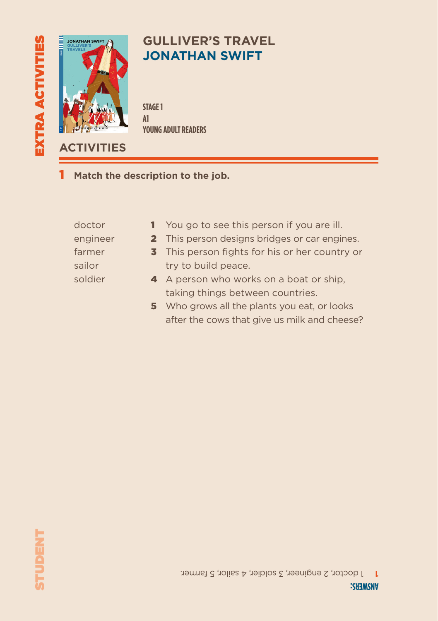

## **GULLIVER'S TRAVEL JONATHAN SWIFT**

**STAGE 1 A1 YOUNG ADULT READERS**

**ACTIVITIES**

1 **Match the description to the job.**

| doctor   | <b>1</b> You go to see this person if you are ill. |
|----------|----------------------------------------------------|
| engineer | 2 This person designs bridges or car engines.      |
| farmer   | 3 This person fights for his or her country or     |
| sailor   | try to build peace.                                |
| soldier  | 4 A person who works on a boat or ship,            |
|          | taking things between countries.                   |
|          | 5 Who grows all the plants you eat, or looks       |

after the cows that give us milk and cheese?

1 doctor, 2 engineer, 3 soldier, 4 sailor, 5 farmer. **1**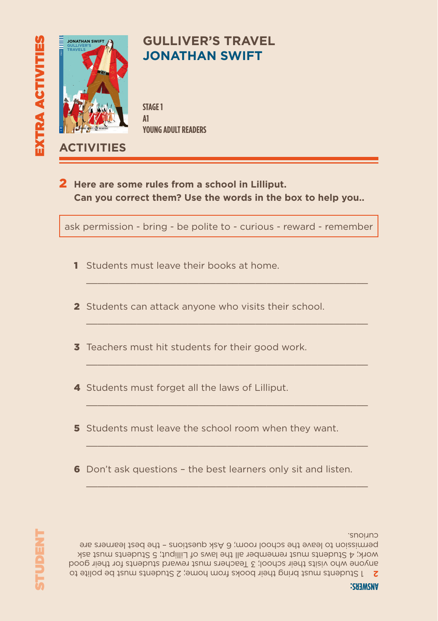

- 6 Don't ask questions the best learners only sit and listen.
- 5 Students must leave the school room when they want.
- 4 Students must forget all the laws of Lilliput.
- **3** Teachers must hit students for their good work.
- 2 Students can attack anyone who visits their school.
- 1 Students must leave their books at home.  $\mathcal{L}_\text{max} = \mathcal{L}_\text{max} = \mathcal{L}_\text{max} = \mathcal{L}_\text{max} = \mathcal{L}_\text{max} = \mathcal{L}_\text{max} = \mathcal{L}_\text{max} = \mathcal{L}_\text{max} = \mathcal{L}_\text{max} = \mathcal{L}_\text{max} = \mathcal{L}_\text{max} = \mathcal{L}_\text{max} = \mathcal{L}_\text{max} = \mathcal{L}_\text{max} = \mathcal{L}_\text{max} = \mathcal{L}_\text{max} = \mathcal{L}_\text{max} = \mathcal{L}_\text{max} = \mathcal{$
- 
- **Can you correct them? Use the words in the box to help you..**

ask permission - bring - be polite to - curious - reward - remember

 $\mathcal{L}_\text{max} = \mathcal{L}_\text{max} = \mathcal{L}_\text{max} = \mathcal{L}_\text{max} = \mathcal{L}_\text{max} = \mathcal{L}_\text{max} = \mathcal{L}_\text{max} = \mathcal{L}_\text{max} = \mathcal{L}_\text{max} = \mathcal{L}_\text{max} = \mathcal{L}_\text{max} = \mathcal{L}_\text{max} = \mathcal{L}_\text{max} = \mathcal{L}_\text{max} = \mathcal{L}_\text{max} = \mathcal{L}_\text{max} = \mathcal{L}_\text{max} = \mathcal{L}_\text{max} = \mathcal{$ 

 $\mathcal{L}_\text{max} = \mathcal{L}_\text{max} = \mathcal{L}_\text{max} = \mathcal{L}_\text{max} = \mathcal{L}_\text{max} = \mathcal{L}_\text{max} = \mathcal{L}_\text{max} = \mathcal{L}_\text{max} = \mathcal{L}_\text{max} = \mathcal{L}_\text{max} = \mathcal{L}_\text{max} = \mathcal{L}_\text{max} = \mathcal{L}_\text{max} = \mathcal{L}_\text{max} = \mathcal{L}_\text{max} = \mathcal{L}_\text{max} = \mathcal{L}_\text{max} = \mathcal{L}_\text{max} = \mathcal{$ 

 $\mathcal{L}_\text{max} = \mathcal{L}_\text{max} = \mathcal{L}_\text{max} = \mathcal{L}_\text{max} = \mathcal{L}_\text{max} = \mathcal{L}_\text{max} = \mathcal{L}_\text{max} = \mathcal{L}_\text{max} = \mathcal{L}_\text{max} = \mathcal{L}_\text{max} = \mathcal{L}_\text{max} = \mathcal{L}_\text{max} = \mathcal{L}_\text{max} = \mathcal{L}_\text{max} = \mathcal{L}_\text{max} = \mathcal{L}_\text{max} = \mathcal{L}_\text{max} = \mathcal{L}_\text{max} = \mathcal{$ 

 $\mathcal{L}_\text{max}$  and  $\mathcal{L}_\text{max}$  and  $\mathcal{L}_\text{max}$  and  $\mathcal{L}_\text{max}$  and  $\mathcal{L}_\text{max}$ 

 $\mathcal{L}_\text{max}$  and  $\mathcal{L}_\text{max}$  and  $\mathcal{L}_\text{max}$  and  $\mathcal{L}_\text{max}$  and  $\mathcal{L}_\text{max}$ 

2 **Here are some rules from a school in Lilliput.** 



**JATHAN SWI** 

**Eli Readers is a beautifully-illustrated series of timeless classics and**  Gulliver is a doctor on a ship. He travels from England to many places. He meets little people and giants, he meets people from the past and horses who can talk. He also encounters pirates and terrible storms. Will he ever return home? Will he be happy in England? Jonathan Swift's classic story is retold for

> 600 headwords 800 headwords 1000 headwords 1800 headwords 2500 headwords Unabridged Texts A1 A2 B1 B2 C1 C2

> > ELT

## **GULLIVER'S TRAVEL JONATHAN SWIFT**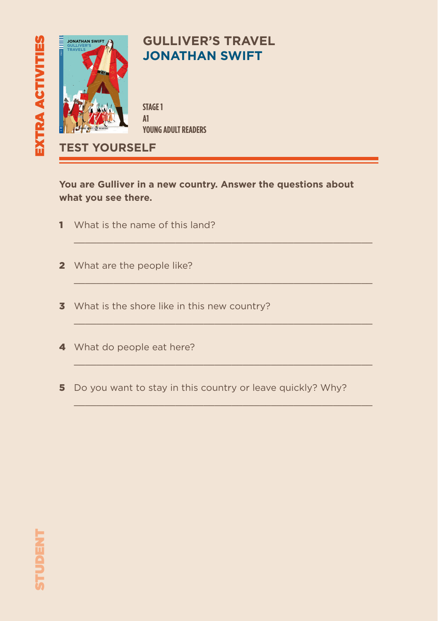

#### **GULLIVER'S TRAVEL JONATHAN SWIFT**

**YOUNG ADULT READERS**

**TEST YOURSELF**

**You are Gulliver in a new country. Answer the questions about what you see there.**

 $\_$  , and the set of the set of the set of the set of the set of the set of the set of the set of the set of the set of the set of the set of the set of the set of the set of the set of the set of the set of the set of th

 $\mathcal{L}_\text{max}$  and the set of the set of the set of the set of the set of the set of the set of the set of the set of the set of the set of the set of the set of the set of the set of the set of the set of the set of the s

 $\mathcal{L}_\text{max}$  and the set of the set of the set of the set of the set of the set of the set of the set of the set of the set of the set of the set of the set of the set of the set of the set of the set of the set of the s

 $\mathcal{L}_\text{max}$  and the set of the set of the set of the set of the set of the set of the set of the set of the set of the set of the set of the set of the set of the set of the set of the set of the set of the set of the s

 $\mathcal{L}_\text{max}$  and the set of the set of the set of the set of the set of the set of the set of the set of the set of the set of the set of the set of the set of the set of the set of the set of the set of the set of the s

- 1 What is the name of this land?
- 2 What are the people like?
- **3** What is the shore like in this new country?
- 4 What do people eat here?
- 5 Do you want to stay in this country or leave quickly? Why?